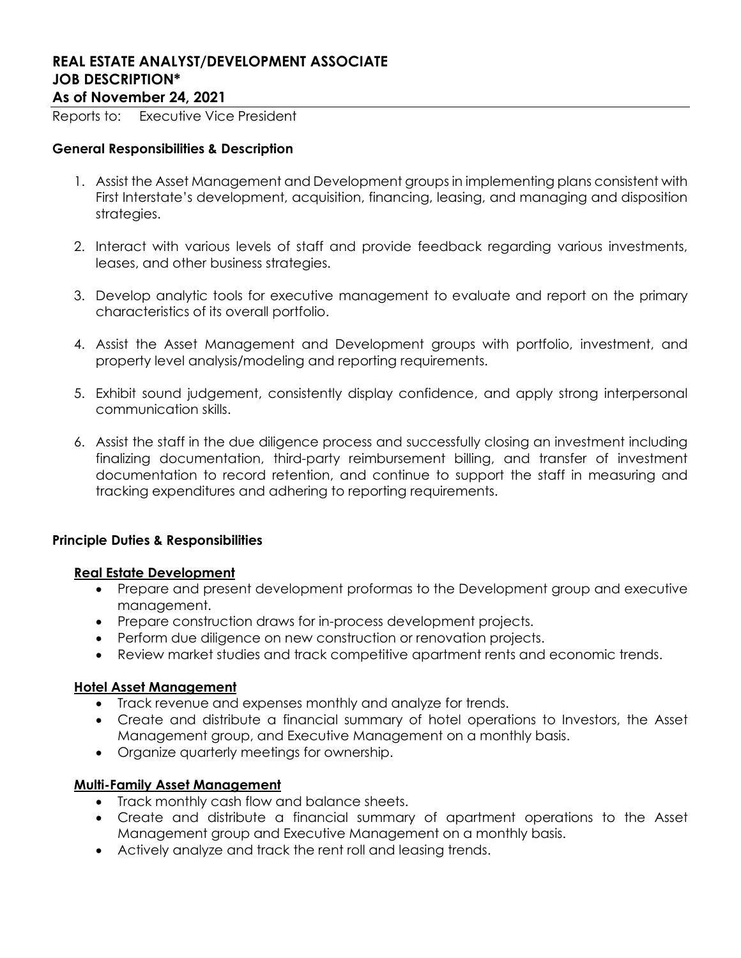# REAL ESTATE ANALYST/DEVELOPMENT ASSOCIATE JOB DESCRIPTION\* As of November 24, 2021

Reports to: Executive Vice President

## General Responsibilities & Description

- 1. Assist the Asset Management and Development groups in implementing plans consistent with First Interstate's development, acquisition, financing, leasing, and managing and disposition strategies.
- 2. Interact with various levels of staff and provide feedback regarding various investments, leases, and other business strategies.
- 3. Develop analytic tools for executive management to evaluate and report on the primary characteristics of its overall portfolio.
- 4. Assist the Asset Management and Development groups with portfolio, investment, and property level analysis/modeling and reporting requirements.
- 5. Exhibit sound judgement, consistently display confidence, and apply strong interpersonal communication skills.
- 6. Assist the staff in the due diligence process and successfully closing an investment including finalizing documentation, third-party reimbursement billing, and transfer of investment documentation to record retention, and continue to support the staff in measuring and tracking expenditures and adhering to reporting requirements.

### Principle Duties & Responsibilities

### Real Estate Development

- Prepare and present development proformas to the Development group and executive management.
- Prepare construction draws for in-process development projects.
- Perform due diligence on new construction or renovation projects.
- Review market studies and track competitive apartment rents and economic trends.

### Hotel Asset Management

- Track revenue and expenses monthly and analyze for trends.
- Create and distribute a financial summary of hotel operations to Investors, the Asset Management group, and Executive Management on a monthly basis.
- Organize quarterly meetings for ownership.

### Multi-Family Asset Management

- Track monthly cash flow and balance sheets.
- Create and distribute a financial summary of apartment operations to the Asset Management group and Executive Management on a monthly basis.
- Actively analyze and track the rent roll and leasing trends.